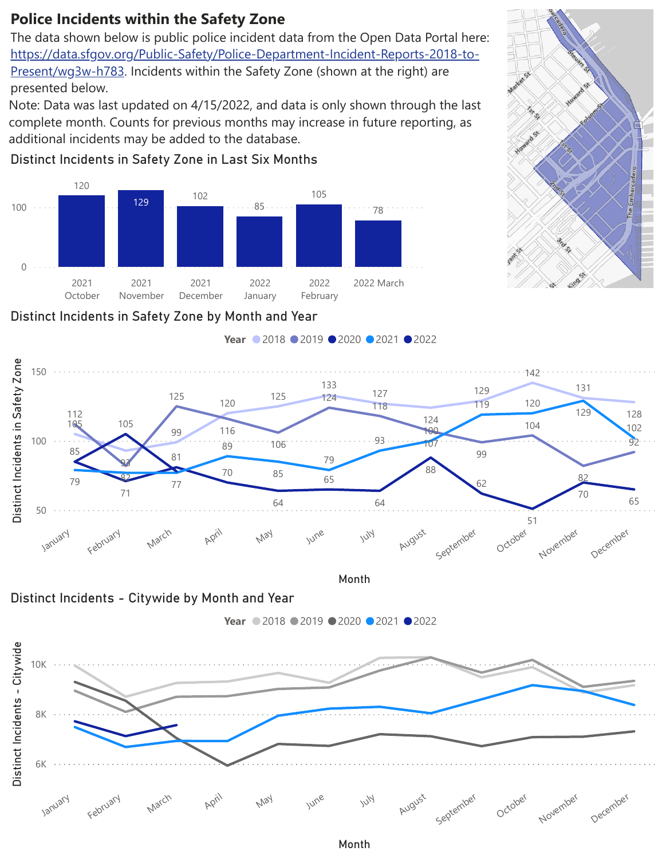Note: Data was last updated on 4/15/2022, and data is only shown through the last complete month. Counts for previous months may increase in future reporting, as additional incidents may be added to the database.

## **Police Incidents within the Safety Zone**

presented below. The data shown below is public police incident data from the Open Data Portal here: [https://data.sfgov.org/Public-Safety/Police-Department-Incident-Reports-2018-to-](https://data.sfgov.org/Public-Safety/Police-Department-Incident-Reports-2018-to-Present/wg3w-h783)Present/wg3w-h783. Incidents within the Safety Zone (shown at the right) are

## Distinct Incidents in Safety Zone by Month and Year

Month



Distinct Incidents in Safety Zone in Last Six Months

## Embarcadero





Year ● 2018 ● 2019 ● 2020 ● 2021 ● 2022

Month